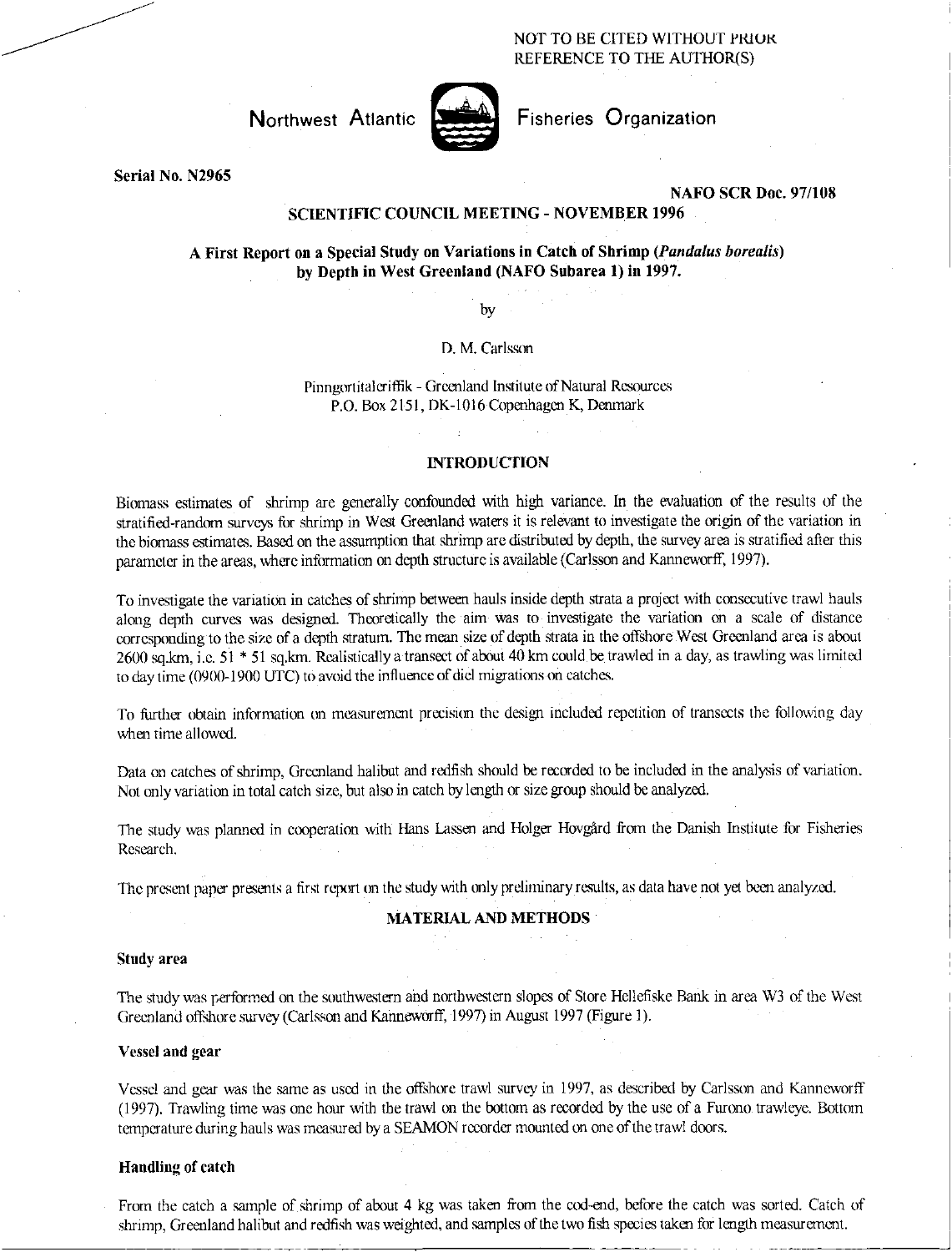NOT TO BE CITED WITHOUT PRIUK REFERENCE TO THE AUTHOR(S)



Northwest Atlantic **Notified** Fisheries Organization

Serial No. N2965

## NAFO SCR Doc. 97/108

## SCIENTIFIC COUNCIL MEETING - NOVEMBER 1996

# A First Report on a Special Study on Variations in Catch of Shrimp (Pandalus borealis) by Depth in West Greenland (NAFO Subarea 1) in 1997.

by

D. M. Carlsson

Pinngortitaleriffik - Greenland Institute of Natural Resources P.O. Box 2151, DK-1016 Copenhagen K, Denmark

### INTRODUCTION

Biomass estimates of shrimp are generally confounded with high variance. In the evaluation of the results of the stratified-random surveys for shrimp in West Greenland waters it is relevant to investigate the origin of the variation in the biomass estimates. Based on the assumption that shrimp are distributed by depth, the survey area is stratified after this parameter in the areas, where information on depth structure is available (Carlsson and Kanneworff, 1997).

To investigate the variation in catches of shrimp between hauls inside depth strata a project with consecutive trawl hauls along depth curves was designed. Theoretically the aim was to investigate the variation on a scale of distance corresponding to the size of a depth stratum. The mean size of depth strata in the offshore West Greenland area is about 2600 sq.km, i.e. 51 \* 51 sq.km. Realistically a transect of about 40 km could be trawled in a day, as trawling was limited to day time (0900-1900 UTC) to avoid the influence of diel migrations on catches.

To further obtain information on measurement precision the design included repetition of transects the following day when time allowed.

Data on catches of shrimp, Greenland halibut and redfish should be recorded to be included in the analysis of variation. Not only variation in total catch size, but also in catch by length or size group should be analyzed.

The study was planned in cooperation with Hans Lassen and Holger Hovgard from the Danish Institute for Fisheries Research.

The present paper presents a first report on the study with only preliminary results, as data have not yet been analyzed.

#### MATERIAL AND METHODS

#### Study area

The study was performed on the southwestern and northwestern slopes of Store Helleflske Bank in area W3 of the West Greenland offshore survey (Carlsson and Kanneworff, 1997) in August 1997 (Figure 1).

#### Vessel and gear

Vessel and gear was the same as used in the offshore trawl survey in 1997, as described by Carlsson and Kanneworff (1997). Trawling time was one hour with the trawl on the bottom as recorded by the use of a Furono trawleye. Bottom temperature during hauls was measured by a SEAMON recorder mounted on one of the trawl doors.

#### Handling of catch

From the catch a sample of shrimp of about 4 kg was taken from the cod-end, before the catch was sorted. Catch of shrimp, Greenland halibut and redfish was weighted, and samples of the two fish species taken for length measurement.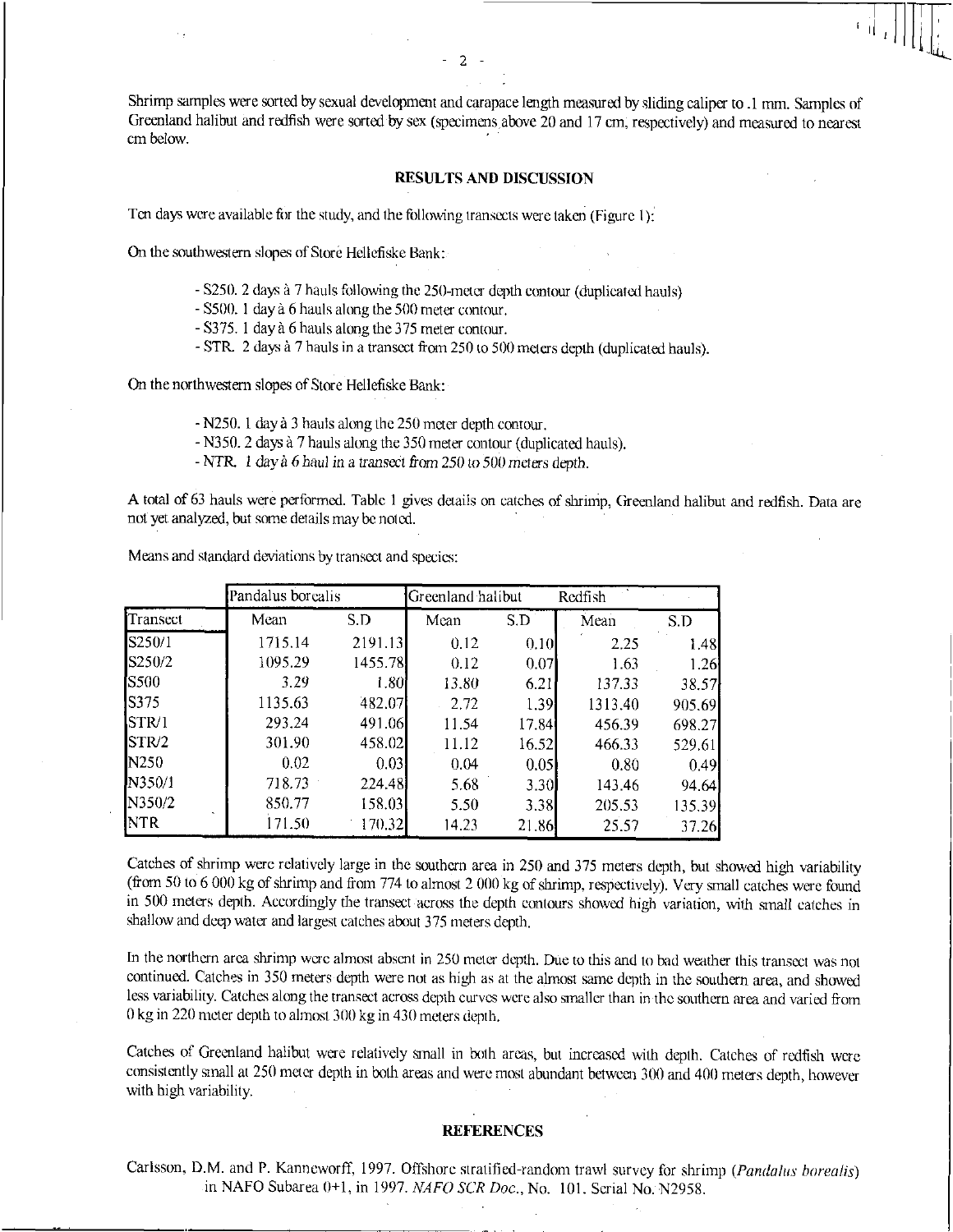Shrimp samples were sorted by sexual development and carapace length measured by sliding caliper to .1 mm. Samples of Greenland halibut and redfish were sorted by sex (specimens above 20 and 17 cm, respectively) and measured to nearest cm below.

 $\overline{2}$ 

## RESULTS AND DISCUSSION

Ten days were available for the study, and the following transects were taken (Figure 1):

On the southwestern slopes of Store Hellefiske Bank:

- S250. 2 days à 7 hauls following the 250-meter depth contour (duplicated hauls)
- S500. 1 day à 6 hauls along the 500 meter contour.
- S375. 1 day a 6 hauls along the 375 meter contour.
- STR. 2 days a 7 hauls in a transect from 250 to 500 meters depth (duplicated hauls).

On the northwestern slopes of Store Hellefiske Bank:

- N250. 1 day a 3 hauls along the 250 meter depth contour.
- N350. 2 days a 7 hauls along the 350 meter contour (duplicated hauls).
- NTR. 1 day a 6 haul in a *transect* from 250 *to* 500 *meters* depth.

A total of 63 hauls were performed. Table 1 gives details on catches of shrimp, Greenland halibut and redfish. Data are not yet analyzed, but some details may be noted.

|             | Pandalus borealis |         | Greenland halibut |       |         |        |  |
|-------------|-------------------|---------|-------------------|-------|---------|--------|--|
| Transect    | Mean              | S.D     | Mean              | S.D   | Mean    | S.D    |  |
| S250/1      | 1715.14           | 2191.13 | 0.12              | 0.10  | 2.25    | 1.48   |  |
| S250/2      | 1095.29           | 1455.78 | 0.12              | 0.07  | 1.63    | 1.26   |  |
| <b>S500</b> | 3.29              | 1.80    | 13.80             | 6.21  | 137.33  | 38.57  |  |
| S375        | 1135.63           | 482.07  | 2.72              | 1.39  | 1313.40 | 905.69 |  |
| STR/1       | 293.24            | 491.06  | 11.54             | 17.84 | 456.39  | 698.27 |  |
| STR/2       | 301.90            | 458.02  | 11.12             | 16.52 | 466.33  | 529.61 |  |
| N250        | 0.02              | 0.03    | 0.04              | 0.05  | 0.80    | 0.49   |  |
| N350/1      | 718.73            | 224.48  | 5.68              | 3.30  | 143.46  | 94.64  |  |
| N350/2      | 850.77            | 158.03  | 5.50              | 3.38  | 205.53  | 135.39 |  |
| NTR         | 171.50            | 170.32  | 14.23             | 21.86 | 25.57   | 37.26  |  |

Means and standard deviations by transect and species:

Catches of shrimp were relatively large in the southern area in 250 and 375 meters depth, but showed high variability (from 50 to 6 000 kg of shrimp and from 774 to almost 2 000 kg of shrimp, respectively). Very small catches were found in 500 meters depth. Accordingly the transect across the depth contours showed high variation, with small catches in shallow and deep water and largest catches about 375 meters depth.

In the northern area shrimp were almost absent in 250 meter depth. Due to this and to bad weather this transect was not continued. Catches in 350 meters depth were not as high as at the almost same depth in the southern area, and showed less variability. Catches along the transect across depth curves were also smaller than in the southern area and varied from 0 kg in 220 meter depth to almost 300 kg in 430 meters depth.

Catches of Greenland halibut were relatively small in both areas, but increased with depth. Catches of redfish were consistently small at 250 meter depth in both areas and were most abundant between 300 and 400 meters depth, however with high variability.

#### REFERENCES

Carlsson, D.M. and P. Kanneworff, 1997. Offshore stratified-random trawl survey for shrimp *(Panda/us borealis)*  in NAFO Subarea 0+1, in 1997. *NAFO SCR Doc.,* No. 101. Serial No. N2958.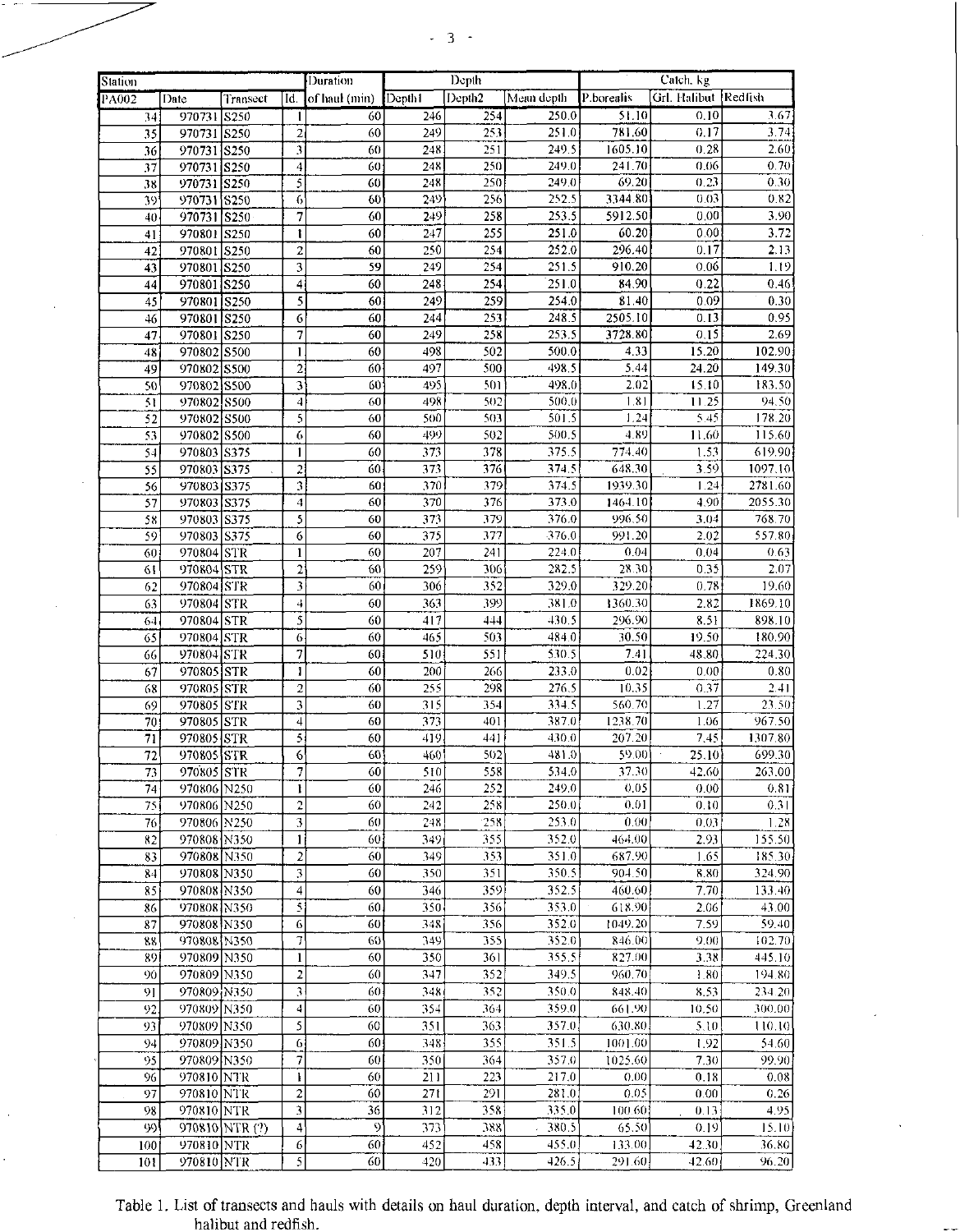# $-3-$

| Duration<br>Station |             |                |                          |                      | Depth      |                    |            | Catch, kg  |                      |                    |
|---------------------|-------------|----------------|--------------------------|----------------------|------------|--------------------|------------|------------|----------------------|--------------------|
| <b>PA002</b>        | Date        | Transect       | Īď.                      | of haul (min) Depth1 |            | Depth <sub>2</sub> | Mean depth | P.borealis | Grl. Halibut Redfish |                    |
| 34                  | 970731      | S250           | -1                       | 60                   | 246        | 254                | 250.0      | 51.10      | 0.10                 | 3.67               |
| 35                  | 970731 S250 |                | $\overline{2}$           | 60                   | 249        | 253                | 251.0      | 781.60     | 0.17                 | 3.74               |
| 36                  | 970731 S250 |                | 3                        | 60                   | 248        | 251                | 249.5      | 1605.10    | 0.28                 | 2.60               |
| 37                  | 970731 S250 |                | 4                        | 60                   | 248        | 250                | 249.0      | 241.70     | 0.06                 | 0.70               |
| 38                  | 970731 S250 |                | 5                        | 60                   | 248        | 250                | 249.0      | 69.20      | 0.23                 | 0.30               |
| 39                  | 970731 S250 |                | 6                        | 60                   | 249        | 256                | 252.5      | 3344.80    | 0.03                 | 0.82               |
| 40                  | 970731 S250 |                | 7                        | 60                   | 249        | 258                | 253.5      | 5912.50    | 0.00                 | 3.90               |
| 41                  | 970801 S250 |                | 1                        | 60                   | 247        | 255                | 2510       | 60.20      | 0.00                 | 3.72               |
| 42                  | 970801 S250 |                | 2                        | 60                   | 250        | 254                | 252.0      | 296.40     | 0.17                 | 2.13               |
| 43                  | 970801 S250 |                | 3                        | 59                   | 249        | 254                | 251.5      | 910.20     | 0.06                 | 1.19               |
| 44                  | 970801 S250 |                | 4                        | 60                   | 248        | 254                | 251.0      | 84.90      | 0.22                 | 0.46               |
| 45                  | 970801 S250 |                | 5                        | 60                   | 249        | 259                | 254.0      | 81.40      | 0.09                 | 0.30               |
| 46                  | 970801 S250 |                | 6                        | 60                   | 244        | 253                | 248.5      | 2505.10    | 0.13                 | 0.95               |
| 47                  | 970801 S250 |                | 7                        | 60                   | 249        | 258                | 253.5      | 3728.80    | 0.15                 | 2.69               |
| 48                  | 970802 S500 |                | 1                        | 60                   | 498        | 502                | 500.0      | 4.33       | 15.20                | 102.90             |
| 49                  | 970802 S500 |                | $\overline{2}$           | 60                   | 497        | 500                | 498.5      | 5.44       | 24.20                | 149.30             |
| 50                  | 970802 S500 |                | 3                        | 60                   | 495        | 501                | 498.0      | 2.02       | 15.10                | 183.50             |
| 51                  | 970802 8500 |                | $\overline{4}$           | 60                   | 498        | 502                | 500.0      | 1.81       | 11.25                | 94.50              |
| 52                  | 970802 S500 |                | 5                        | 60                   | 500        | 503                | 501.5      | 1.24       | 5.45                 | 178.20             |
| 53                  | 970802 S500 |                | 6                        | 60                   | 499        | 502                | 500.5      | 4.89       | 11.60                | 115.60             |
| 54                  | 970803 S375 |                | 1                        | 60                   | 373        | 378                | 375.5      | 774.40     | 1.53                 | 619.90             |
|                     |             |                |                          | 60                   |            | 376                | 374.5      | 648.30     | 3.59                 |                    |
| 55                  | 970803 S375 |                | 2<br>3                   | 60                   | 373<br>370 | 379                | 374.5      | 1939.30    | 1.24                 | 1097.10<br>2781.60 |
| 56                  | 970803 S375 |                |                          | 60                   |            | 376                | 373.0      | 1464.10    |                      | 2055.30            |
| 57                  | 970803 S375 |                | $\boldsymbol{4}$         |                      | 370        |                    |            | 996.50     | 4.90                 |                    |
| 58                  | 970803 S375 |                | 5                        | 60                   | 373        | 379                | 376.0      |            | 3.04                 | 768.70             |
| 59                  | 970803 S375 |                | 6                        | 60                   | 375        | 377                | 376.0      | 991.20     | 2.02                 | 557.80             |
| 60                  | 970804 STR  |                | 1                        | 60                   | 207        | 241                | 224.0      | 0.04       | 0.04                 | 0.63               |
| 61                  | 970804 STR  |                | $\overline{2}$           | 60                   | 259        | 306                | 282.5      | 28.30      | 0.35                 | 2.07               |
| 62                  | 970804 STR  |                | 3                        | 60                   | 306        | 352                | 329.0      | 329.20     | 0.78                 | 19.60              |
| 63                  | 970804 STR  |                | 4                        | 60                   | 363        | 399                | 381.0      | 1360.30    | 2.82                 | 1869.10            |
| 64                  | 970804 STR  |                | 5                        | 60                   | 417        | 444                | 430.5      | 296.90     | 8.51                 | 898.10             |
| 65                  | 970804 STR  |                | 6                        | 60                   | 465        | 503                | 484.0      | 30.50      | 19.50                | 180.90             |
| 66                  | 970804 STR  |                | 7                        | 60                   | 510        | 551                | 530.5      | 7.41       | 48.80                | 224.30             |
| 67                  | 970805 STR  |                | 1                        | 60                   | 200        | 266                | 233.0      | 0.02       | 0.00                 | 0.80               |
| 68                  | 970805 STR  |                | $\overline{c}$           | 60                   | 255        | 298                | 276.5      | 10.35      | 0.37                 | 2.41               |
| 69                  | 970805 STR  |                | 3                        | 60                   | 315        | 354                | 334.5      | 560.70     | 1.27                 | 23.50              |
| 70                  | 970805 STR  |                | 4                        | 60                   | 373        | 401                | 387.0      | 1238.70    | 1.06                 | 967.50             |
| 71                  | 970805 STR  |                | 5                        | 60                   | 419        | 441                | 430.0      | 207.20     | 7.45                 | 1307.80            |
| $\overline{72}$     | 970805 STR  |                | 6                        | 60                   | 460        | 502                | 481.0      | 59.00      | 25.10                | 699.30             |
| 73                  | 970805 STR  |                | $\overline{\phantom{a}}$ | 60                   | 510        | 558                | 534.0      | 37.30      | 42.60                | 263.00             |
| 74                  | 970806 N250 |                | ł                        | 60                   | 246        | 252                | 249.0      | 0.05       | 0.00                 | 0.81               |
| 75                  | 970806 N250 |                | $\sqrt{2}$               | 60                   | 242        | 258                | 250.0      | 0.01       | 0.10                 | 0.31               |
| 76                  | 970806 N250 |                | 3                        | 60                   | 248        | 258                | 253.0      | 0.00       | 0.03                 | 1.28               |
| 82                  | 970808 N350 |                | $\mathbf{1}$             | 60                   | 349        | 355                | 352.0      | 464.00     | 2.93                 | 155.50             |
| 83                  | 970808 N350 |                | $\boldsymbol{2}$         | 60                   | 349        | 353                | 351.0      | 687.90     | 1.65                 | 185.30             |
| 84                  | 970808 N350 |                | 3                        | 60                   | 350        | 351                | 350.5      | 904.50     | 8.80                 | 324.90             |
| 85                  | 970808 N350 |                | 4                        | 60                   | 346        | 359                | 352.5      | 460.60     | 7.70                 | 133.40             |
| 86                  | 970808 N350 |                | $\overline{\mathbf{5}}$  | 60                   | 350        | 356                | 353.0      | 618.90     | 2.06                 | 43.00              |
| 87                  | 970808 N350 |                | 6                        | 60                   | 348        | 356                | 352.0      | 1049.20    | 7.59                 | 59.40              |
| 88                  | 970808 N350 |                | 7                        | 60                   | 349        | 355                | 352.0      | 846.00     | 9.00                 | 102.70             |
| 89                  | 970809 N350 |                | $\mathbf{l}$             | 60                   | 350        | 361                | 355.5      | 827.00     | 3.38                 | 445.10             |
| 90                  | 970809 N350 |                | $\mathbf 2$              | 60                   | 347        | 352                | 349.5      | 960.70     | 1.80                 | 194.80             |
| 91                  | 970809 N350 |                | 3                        | 60                   | 348        | 352                | 350.0      | 848.40     | 8.53                 | 234.20             |
| 92                  | 970809 N350 |                | $\ddot{4}$               | 60                   | 354        | 364                | 359.0      | 661.90     | 10.50                | 300.00             |
| 93                  | 970809 N350 |                | 5                        | 60                   | 351        | 363                | 357.0      | 630.80.    | 5.10                 | 110.10             |
| 94                  | 970809 N350 |                | 6                        | 60                   | 348        | 355                | 351.5      | 1001.00    | 1.92                 | 54.60              |
| 95                  | 970809 N350 |                | 7                        | 60                   | 350        | 364                | 357.0      | 1025.60    | 7.30                 | 99.90              |
| 96                  | 970810 NTR  |                | ł                        | 60                   | 211        | 223                | 217.0      | 0.00       | 0.18                 | 0.08               |
| 97                  | 970810 NTR  |                | $\boldsymbol{2}$         | 60                   | 271        | 291                | 281.0      | 0.05       | 0.00                 | 0.26               |
|                     |             |                | 3                        | 36                   | 312        | 358                | 335.0      | 100.60     |                      | 4.95               |
| 98                  | 970810 NTR  |                |                          | $\mathcal{S}$        |            |                    |            |            | 0.13                 |                    |
| 99                  |             | 970810 NTR (?) | 4                        |                      | 373        | 388                | 380.5      | 65.50      | 0.19                 | 15.10              |
| 100                 | 970810 NTR  |                | 6                        | 60                   | 452        | 458                | 455.0      | 133.00.    | 42.30                | 36.80              |
| 101                 | 970810 NTR  |                | 5                        | 60                   | 420        | 433                | 426.5      | 291.60     | 42.60                | 96.20              |

## Table 1. List of transects and hauls with details on haul duration, depth interval, and catch of shrimp, Greenland halibut and redfish.